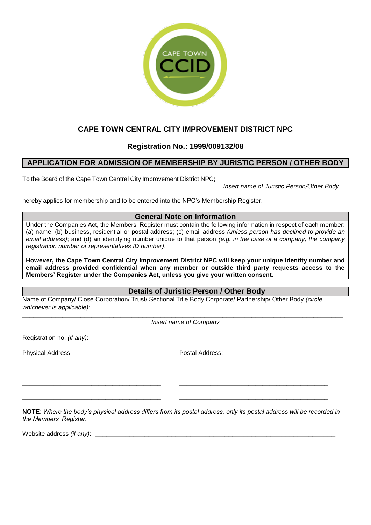

# **CAPE TOWN CENTRAL CITY IMPROVEMENT DISTRICT NPC**

## **Registration No.: 1999/009132/08**

## **APPLICATION FOR ADMISSION OF MEMBERSHIP BY JURISTIC PERSON / OTHER BODY**

To the Board of the Cape Town Central City Improvement District NPC;

*Insert name of Juristic Person/Other Body*

hereby applies for membership and to be entered into the NPC's Membership Register.

## **General Note on Information**

Under the Companies Act, the Members' Register must contain the following information in respect of each member: (a) name; (b) business, residential or postal address; (c) email address *(unless person has declined to provide an email address)*; and (d) an identifying number unique to that person *(e.g. in the case of a company, the company registration number or representatives ID number)*.

**However, the Cape Town Central City Improvement District NPC will keep your unique identity number and email address provided confidential when any member or outside third party requests access to the Members' Register under the Companies Act, unless you give your written consent.**

## **Details of Juristic Person / Other Body**

Name of Company/ Close Corporation/ Trust/ Sectional Title Body Corporate/ Partnership/ Other Body *(circle whichever is applicable)*:

\_\_\_\_\_\_\_\_\_\_\_\_\_\_\_\_\_\_\_\_\_\_\_\_\_\_\_\_\_\_\_\_\_\_\_\_\_\_\_\_ \_\_\_\_\_\_\_\_\_\_\_\_\_\_\_\_\_\_\_\_\_\_\_\_\_\_\_\_\_\_\_\_\_\_\_\_\_\_\_\_\_\_\_

\_\_\_\_\_\_\_\_\_\_\_\_\_\_\_\_\_\_\_\_\_\_\_\_\_\_\_\_\_\_\_\_\_\_\_\_\_\_\_\_ \_\_\_\_\_\_\_\_\_\_\_\_\_\_\_\_\_\_\_\_\_\_\_\_\_\_\_\_\_\_\_\_\_\_\_\_\_\_\_\_\_\_\_

\_\_\_\_\_\_\_\_\_\_\_\_\_\_\_\_\_\_\_\_\_\_\_\_\_\_\_\_\_\_\_\_\_\_\_\_\_\_\_\_ \_\_\_\_\_\_\_\_\_\_\_\_\_\_\_\_\_\_\_\_\_\_\_\_\_\_\_\_\_\_\_\_\_\_\_\_\_\_\_\_\_\_\_

 $\_$  . The contribution of the contribution of the contribution of the contribution of the contribution of the contribution of the contribution of the contribution of the contribution of the contribution of the contributio *Insert name of Company*

Registration no. *(if any)*:

Physical Address: Postal Address:

**NOTE**: *Where the body's physical address differs from its postal address, only its postal address will be recorded in the Members' Register.*

Website address *(if any)*: \_\_\_\_\_\_\_\_\_\_\_\_\_\_\_\_\_\_\_\_\_\_\_\_\_\_\_\_\_\_\_\_\_\_\_\_\_\_\_\_\_\_\_\_\_\_\_\_\_\_\_\_\_\_\_\_\_\_\_\_\_\_\_